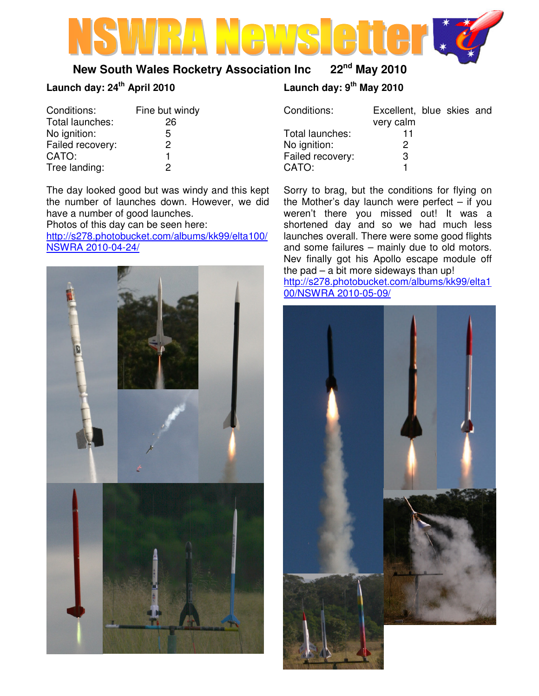

# **New South Wales Rocketry Association Inc 22nd May 2010**

# **Launch day: 24th April 2010**

| Conditions:      | Fine but windy |  |  |
|------------------|----------------|--|--|
| Total launches:  | 26             |  |  |
| No ignition:     | 5              |  |  |
| Failed recovery: | 2              |  |  |
| CATO:            | 1              |  |  |
| Tree landing:    | 2              |  |  |

The day looked good but was windy and this kept the number of launches down. However, we did have a number of good launches.

Photos of this day can be seen here:

http://s278.photobucket.com/albums/kk99/elta100/ NSWRA 2010-04-24/



# **Launch day: 9th May 2010**

| Conditions:      | Excellent, blue skies and<br>very calm |  |  |
|------------------|----------------------------------------|--|--|
| Total launches:  | 11                                     |  |  |
| No ignition:     | 2                                      |  |  |
| Failed recovery: | з                                      |  |  |
| CATO:            |                                        |  |  |

Sorry to brag, but the conditions for flying on the Mother's day launch were perfect  $-$  if you weren't there you missed out! It was a shortened day and so we had much less launches overall. There were some good flights and some failures – mainly due to old motors. Nev finally got his Apollo escape module off the pad – a bit more sideways than up!

http://s278.photobucket.com/albums/kk99/elta1 00/NSWRA 2010-05-09/